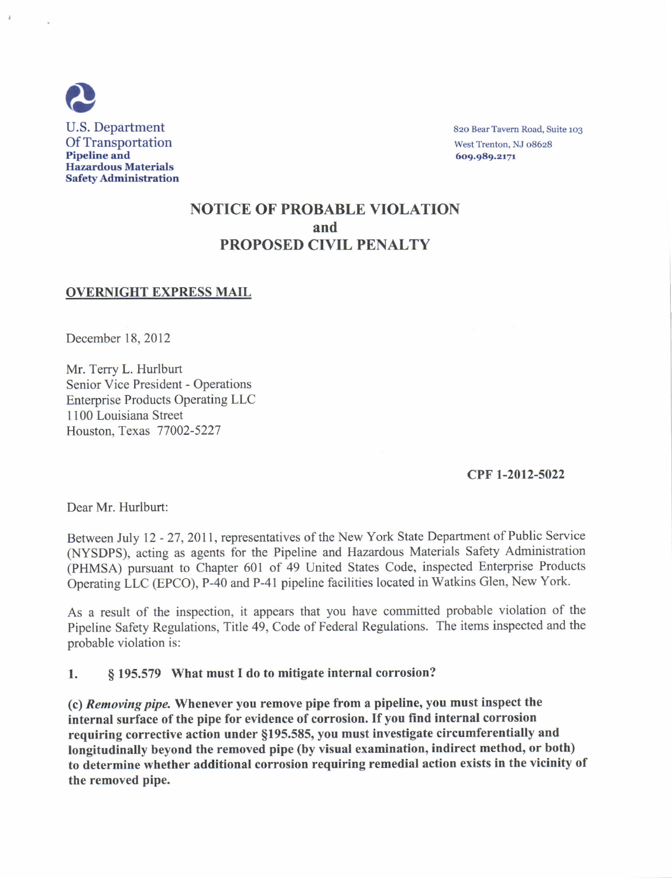

# NOTICE OF PROBABLE YIOLATION and PROPOSED CIVIL PENALTY

### OVERNIGHT EXPRESS MAIL

December 18,2012

Mr. Terry L. Hurlburt Senior Vice President - Operations Enterprise Products Operating LLC I 100 Louisiana Street Houston, Texas 77002-5227

#### cPF l-2012-5022

Dear Mr. Hurlburt:

Between July 12 - 27, 2011, representatives of the New York State Department of Public Service (NYSDPS), acting as agents for the Pipeline and Hazardous Materials Safety Administration (PHMSA) pursuant to Chapter 601 of 49 United States Code, inspected Enterprise Products Operating LLC (EPCO), P-40 and P-41 pipeline facilities located in Watkins Glen, New York.

As a result of the inspection, it appears that you have committed probable violation of the Pipeline Safety Regulations, Title 49, Code of Federal Regulations. The items inspected and the probable violation is:

l. S 195.579 What must I do to mitigate internal corrosion?

(c) Removing pipa Whenever you remove pipe from a pipeline, you must inspect the internal surface of the pipe for evidence of corrosion. If you find internal corrosion requiring corrective action under \$195.585, you must investigate circumferentially and longitudinally beyond the removed pipe (by visual examination, indirect method, or both) to determine whether additional corrosion requiring remedial action exists in the vicinity of the removed pipe.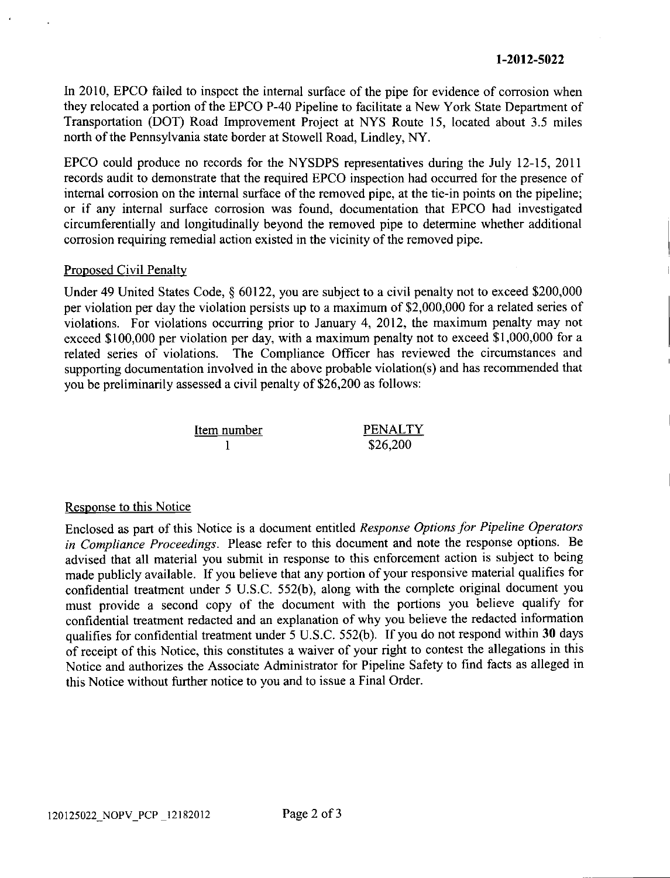In 2010, EPCO failed to inspect the internal surface of the pipe for evidence of corrosion when they relocated a portion of the EPCO P-40 Pipeline to facilitate a New York State Department of Transportation (DOT) Road Improvement Project at NYS Route 15, located about 3.5 miles north of the Pennsylvania state border at Stowell Road, Lindley, NY.

EPCO could produce no records for the NYSDPS representatives during the July 12-15,2011 records audit to demonstrate that the required EPCO inspection had occurred for the presence of internal corrosion on the internal surface of the removed pipe, at the tie-in points on the pipeline; or if any intemal surface corrosion was found, documentation that EPCO had investigated circumferentially and longitudinally beyond the removed pipe to determine whether additional corrosion requiring remedial action existed in the vicinity of the removed pipe.

## Proposed Civil Penalty

Under 49 United States Code, \$ 60122, you are subject to a civil penalty not to exceed \$200,000 per violation per day the violation persists up to a maximum of \$2,000,000 for a related series of violations. For violations occurring prior to January 4,2012, the maximum penalty may not exceed \$100,000 per violation per day, with a maximum penalty not to exceed \$1,000,000 for a related series of violations. The Compliance Officer has reviewed the circumstances and The Compliance Officer has reviewed the circumstances and supporting documentation involved in the above probable violation(s) and has recommended that you be preliminarily assessed a civil penalty of \$26,200 as follows:



## Response to this Notice

Enclosed as part of this Notice is a document entitled Response Options for Pipeline Operators in Compliance Proceedings. Please refer to this document and note the response options. Be advised that all material you submit in response to this enforcement action is subject to being made publicly available. If you believe that any portion of your responsive material qualifies for confidential treatment under 5 U.S.C. 552(b), along with the complete original document you must provide a second copy of the document with the portions you believe qualify for confidential treatment redacted and an explanation of why you believe the redacted information qualifies for confidential treatment under 5 U.S.C. 552(b). If you do not respond within 30 days of receipt of this Notice, this constitutes a waiver of your right to contest the allegations in this Notice and authorizes the Associate Administrator for Pipeline Safety to find facts as alleged in this Notice without further notice to you and to issue a Final Order.